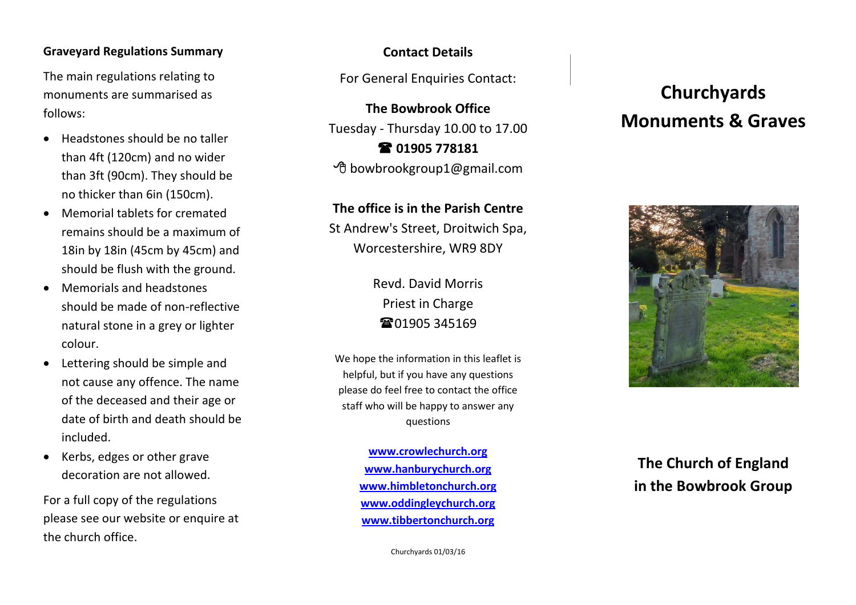#### **Graveyard Regulations Summary**

The main regulations relating to monuments are summarised as follows :

- Headstones should be no taller than 4ft (120cm) and no wider than 3ft (90cm). They should be no thicker than 6in (150cm).
- Memorial tablets for cremated remains should be a maximum of 18in by 18in (45cm by 45cm) and should be flush with the ground.
- Memorials and headstones should be made of non -reflective natural stone in a grey or lighter colour.
- Lettering should be simple and not cause any offence. The name of the deceased and their age or date of birth and death should be included.
- Kerbs, edges or other grave decoration are not allowed.

For a full copy of the regulations please see our website or enquire at the church office.

## **Contact Details**

For General Enquiries Contact:

**The Bowbrook Office** Tuesday - Thursday 10 . 00 to 1 7 . 0 0 **01905 778181** bowbrookgroup1 @gmail.com

### **The office is in the Parish Centre**

St Andrew's Street, Droitwich Spa, Worcestershire, WR9 8DY

> Revd . David Morris Priest in Charge **電01905 345169**

We hope the information in this leaflet is helpful, but if you have any questions please do feel free to contact the office staff who will be happy to answer any questions

> **[www.crowlechurch.org](http://www.crowlechurch.org/) [www.hanburychurch.org](http://www.hanburychurch.org/) [www.himbletonchurch.org](http://www.himbletonchurch.org/) [www.oddingleychurch.org](http://www.oddingleychurch.org/) [www.tibbertonchurch.org](http://www.tibbertonchurch.org/)**

> > Churchyards 01 /03/16

# **Churchyards Monuments & Graves**



# **The Church of England in the Bowbrook Group**